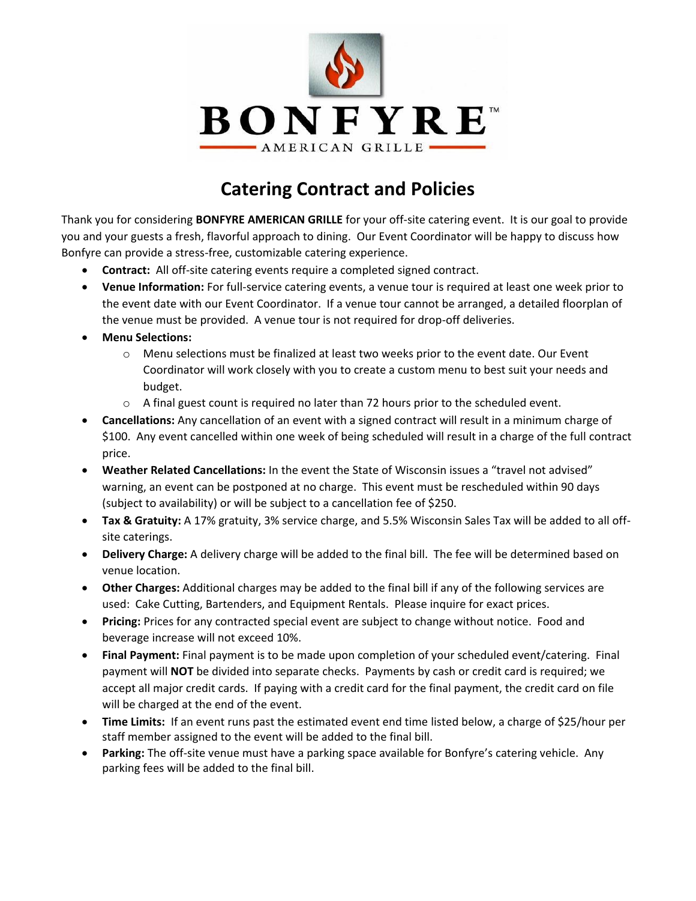

## **Catering Contract and Policies**

Thank you for considering **BONFYRE AMERICAN GRILLE** for your off-site catering event. It is our goal to provide you and your guests a fresh, flavorful approach to dining. Our Event Coordinator will be happy to discuss how Bonfyre can provide a stress-free, customizable catering experience.

- **Contract:** All off-site catering events require a completed signed contract.
- **Venue Information:** For full-service catering events, a venue tour is required at least one week prior to the event date with our Event Coordinator. If a venue tour cannot be arranged, a detailed floorplan of the venue must be provided. A venue tour is not required for drop-off deliveries.
- **Menu Selections:**
	- o Menu selections must be finalized at least two weeks prior to the event date. Our Event Coordinator will work closely with you to create a custom menu to best suit your needs and budget.
	- $\circ$  A final guest count is required no later than 72 hours prior to the scheduled event.
- **Cancellations:** Any cancellation of an event with a signed contract will result in a minimum charge of \$100. Any event cancelled within one week of being scheduled will result in a charge of the full contract price.
- **Weather Related Cancellations:** In the event the State of Wisconsin issues a "travel not advised" warning, an event can be postponed at no charge. This event must be rescheduled within 90 days (subject to availability) or will be subject to a cancellation fee of \$250.
- **Tax & Gratuity:** A 17% gratuity, 3% service charge, and 5.5% Wisconsin Sales Tax will be added to all offsite caterings.
- **Delivery Charge:** A delivery charge will be added to the final bill. The fee will be determined based on venue location.
- **Other Charges:** Additional charges may be added to the final bill if any of the following services are used: Cake Cutting, Bartenders, and Equipment Rentals. Please inquire for exact prices.
- **Pricing:** Prices for any contracted special event are subject to change without notice. Food and beverage increase will not exceed 10%.
- **Final Payment:** Final payment is to be made upon completion of your scheduled event/catering. Final payment will **NOT** be divided into separate checks. Payments by cash or credit card is required; we accept all major credit cards. If paying with a credit card for the final payment, the credit card on file will be charged at the end of the event.
- **Time Limits:** If an event runs past the estimated event end time listed below, a charge of \$25/hour per staff member assigned to the event will be added to the final bill.
- **Parking:** The off-site venue must have a parking space available for Bonfyre's catering vehicle. Any parking fees will be added to the final bill.